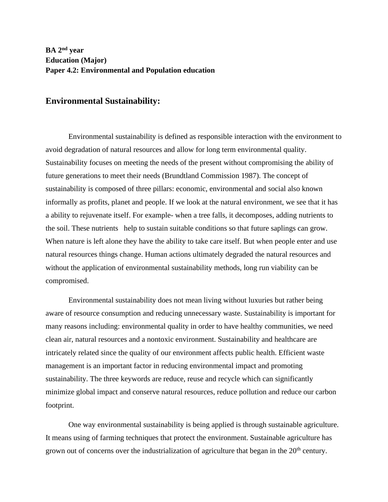## **Environmental Sustainability:**

Environmental sustainability is defined as responsible interaction with the environment to avoid degradation of natural resources and allow for long term environmental quality. Sustainability focuses on meeting the needs of the present without compromising the ability of future generations to meet their needs (Brundtland Commission 1987). The concept of sustainability is composed of three pillars: economic, environmental and social also known informally as profits, planet and people. If we look at the natural environment, we see that it has a ability to rejuvenate itself. For example- when a tree falls, it decomposes, adding nutrients to the soil. These nutrients help to sustain suitable conditions so that future saplings can grow. When nature is left alone they have the ability to take care itself. But when people enter and use natural resources things change. Human actions ultimately degraded the natural resources and without the application of environmental sustainability methods, long run viability can be compromised.

Environmental sustainability does not mean living without luxuries but rather being aware of resource consumption and reducing unnecessary waste. Sustainability is important for many reasons including: environmental quality in order to have healthy communities, we need clean air, natural resources and a nontoxic environment. Sustainability and healthcare are intricately related since the quality of our environment affects public health. Efficient waste management is an important factor in reducing environmental impact and promoting sustainability. The three keywords are reduce, reuse and recycle which can significantly minimize global impact and conserve natural resources, reduce pollution and reduce our carbon footprint.

One way environmental sustainability is being applied is through sustainable agriculture. It means using of farming techniques that protect the environment. Sustainable agriculture has grown out of concerns over the industrialization of agriculture that began in the 20<sup>th</sup> century.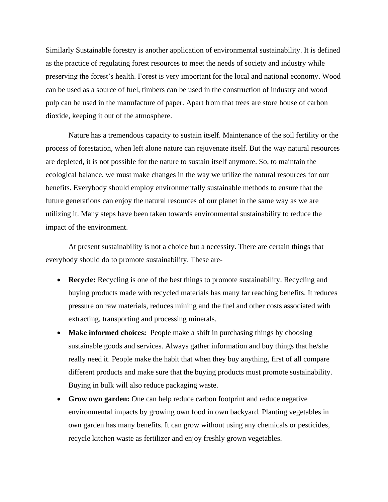Similarly Sustainable forestry is another application of environmental sustainability. It is defined as the practice of regulating forest resources to meet the needs of society and industry while preserving the forest's health. Forest is very important for the local and national economy. Wood can be used as a source of fuel, timbers can be used in the construction of industry and wood pulp can be used in the manufacture of paper. Apart from that trees are store house of carbon dioxide, keeping it out of the atmosphere.

Nature has a tremendous capacity to sustain itself. Maintenance of the soil fertility or the process of forestation, when left alone nature can rejuvenate itself. But the way natural resources are depleted, it is not possible for the nature to sustain itself anymore. So, to maintain the ecological balance, we must make changes in the way we utilize the natural resources for our benefits. Everybody should employ environmentally sustainable methods to ensure that the future generations can enjoy the natural resources of our planet in the same way as we are utilizing it. Many steps have been taken towards environmental sustainability to reduce the impact of the environment.

At present sustainability is not a choice but a necessity. There are certain things that everybody should do to promote sustainability. These are-

- **Recycle:** Recycling is one of the best things to promote sustainability. Recycling and buying products made with recycled materials has many far reaching benefits. It reduces pressure on raw materials, reduces mining and the fuel and other costs associated with extracting, transporting and processing minerals.
- **Make informed choices:** People make a shift in purchasing things by choosing sustainable goods and services. Always gather information and buy things that he/she really need it. People make the habit that when they buy anything, first of all compare different products and make sure that the buying products must promote sustainability. Buying in bulk will also reduce packaging waste.
- **Grow own garden:** One can help reduce carbon footprint and reduce negative environmental impacts by growing own food in own backyard. Planting vegetables in own garden has many benefits. It can grow without using any chemicals or pesticides, recycle kitchen waste as fertilizer and enjoy freshly grown vegetables.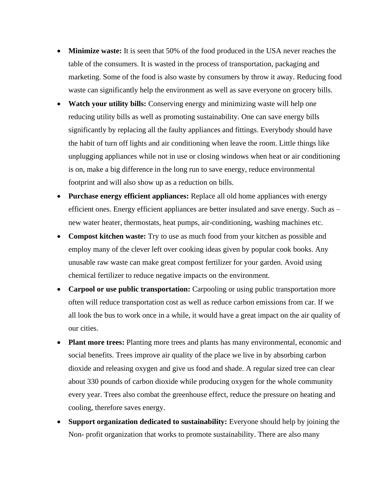- **Minimize waste:** It is seen that 50% of the food produced in the USA never reaches the table of the consumers. It is wasted in the process of transportation, packaging and marketing. Some of the food is also waste by consumers by throw it away. Reducing food waste can significantly help the environment as well as save everyone on grocery bills.
- **Watch your utility bills:** Conserving energy and minimizing waste will help one reducing utility bills as well as promoting sustainability. One can save energy bills significantly by replacing all the faulty appliances and fittings. Everybody should have the habit of turn off lights and air conditioning when leave the room. Little things like unplugging appliances while not in use or closing windows when heat or air conditioning is on, make a big difference in the long run to save energy, reduce environmental footprint and will also show up as a reduction on bills.
- **Purchase energy efficient appliances:** Replace all old home appliances with energy efficient ones. Energy efficient appliances are better insulated and save energy. Such as – new water heater, thermostats, heat pumps, air-conditioning, washing machines etc.
- **Compost kitchen waste:** Try to use as much food from your kitchen as possible and employ many of the clever left over cooking ideas given by popular cook books. Any unusable raw waste can make great compost fertilizer for your garden. Avoid using chemical fertilizer to reduce negative impacts on the environment.
- **Carpool or use public transportation:** Carpooling or using public transportation more often will reduce transportation cost as well as reduce carbon emissions from car. If we all look the bus to work once in a while, it would have a great impact on the air quality of our cities.
- **Plant more trees:** Planting more trees and plants has many environmental, economic and social benefits. Trees improve air quality of the place we live in by absorbing carbon dioxide and releasing oxygen and give us food and shade. A regular sized tree can clear about 330 pounds of carbon dioxide while producing oxygen for the whole community every year. Trees also combat the greenhouse effect, reduce the pressure on heating and cooling, therefore saves energy.
- **Support organization dedicated to sustainability:** Everyone should help by joining the Non- profit organization that works to promote sustainability. There are also many